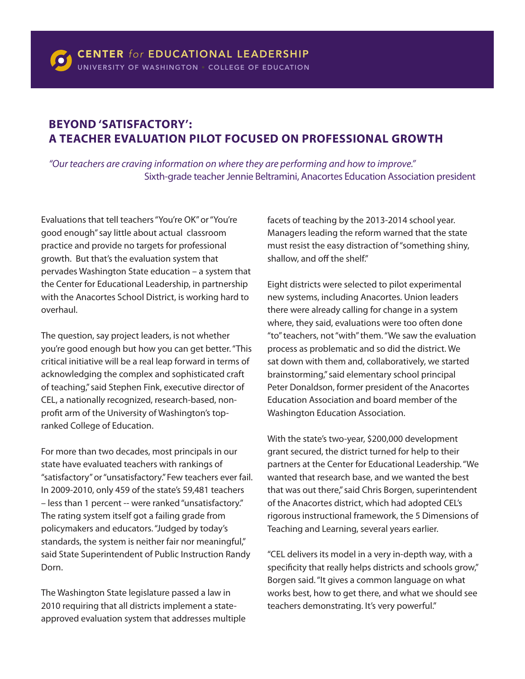## **BEYOND 'SATISFACTORY': A TEACHER EVALUATION PILOT FOCUSED ON PROFESSIONAL GROWTH**

*"Our teachers are craving information on where they are performing and how to improve."* Sixth-grade teacher Jennie Beltramini, Anacortes Education Association president

Evaluations that tell teachers "You're OK" or "You're good enough" say little about actual classroom practice and provide no targets for professional growth. But that's the evaluation system that pervades Washington State education – a system that the Center for Educational Leadership, in partnership with the Anacortes School District, is working hard to overhaul.

The question, say project leaders, is not whether you're good enough but how you can get better. "This critical initiative will be a real leap forward in terms of acknowledging the complex and sophisticated craft of teaching," said Stephen Fink, executive director of CEL, a nationally recognized, research-based, nonprofit arm of the University of Washington's topranked College of Education.

For more than two decades, most principals in our state have evaluated teachers with rankings of "satisfactory" or "unsatisfactory." Few teachers ever fail. In 2009-2010, only 459 of the state's 59,481 teachers – less than 1 percent -- were ranked "unsatisfactory." The rating system itself got a failing grade from policymakers and educators. "Judged by today's standards, the system is neither fair nor meaningful," said State Superintendent of Public Instruction Randy Dorn.

The Washington State legislature passed a law in 2010 requiring that all districts implement a stateapproved evaluation system that addresses multiple facets of teaching by the 2013-2014 school year. Managers leading the reform warned that the state must resist the easy distraction of "something shiny, shallow, and off the shelf."

Eight districts were selected to pilot experimental new systems, including Anacortes. Union leaders there were already calling for change in a system where, they said, evaluations were too often done "to" teachers, not "with" them. "We saw the evaluation process as problematic and so did the district. We sat down with them and, collaboratively, we started brainstorming," said elementary school principal Peter Donaldson, former president of the Anacortes Education Association and board member of the Washington Education Association.

With the state's two-year, \$200,000 development grant secured, the district turned for help to their partners at the Center for Educational Leadership. "We wanted that research base, and we wanted the best that was out there," said Chris Borgen, superintendent of the Anacortes district, which had adopted CEL's rigorous instructional framework, the 5 Dimensions of Teaching and Learning, several years earlier.

"CEL delivers its model in a very in-depth way, with a specificity that really helps districts and schools grow," Borgen said. "It gives a common language on what works best, how to get there, and what we should see teachers demonstrating. It's very powerful."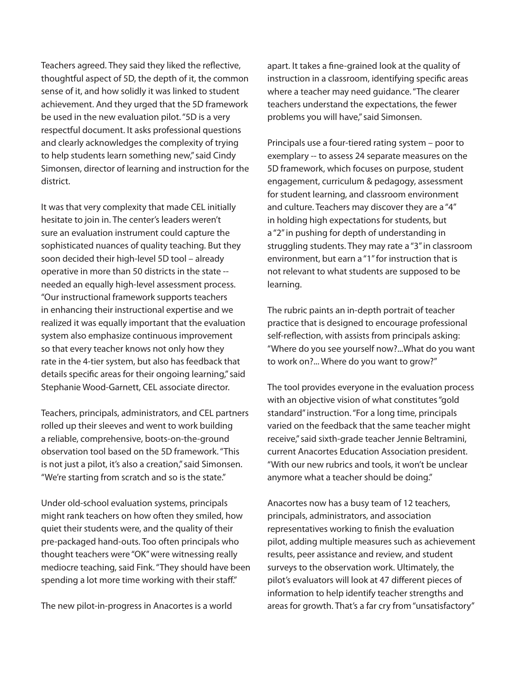Teachers agreed. They said they liked the reflective, thoughtful aspect of 5D, the depth of it, the common sense of it, and how solidly it was linked to student achievement. And they urged that the 5D framework be used in the new evaluation pilot. "5D is a very respectful document. It asks professional questions and clearly acknowledges the complexity of trying to help students learn something new," said Cindy Simonsen, director of learning and instruction for the district.

It was that very complexity that made CEL initially hesitate to join in. The center's leaders weren't sure an evaluation instrument could capture the sophisticated nuances of quality teaching. But they soon decided their high-level 5D tool – already operative in more than 50 districts in the state - needed an equally high-level assessment process. "Our instructional framework supports teachers in enhancing their instructional expertise and we realized it was equally important that the evaluation system also emphasize continuous improvement so that every teacher knows not only how they rate in the 4-tier system, but also has feedback that details specific areas for their ongoing learning," said Stephanie Wood-Garnett, CEL associate director.

Teachers, principals, administrators, and CEL partners rolled up their sleeves and went to work building a reliable, comprehensive, boots-on-the-ground observation tool based on the 5D framework. "This is not just a pilot, it's also a creation," said Simonsen. "We're starting from scratch and so is the state."

Under old-school evaluation systems, principals might rank teachers on how often they smiled, how quiet their students were, and the quality of their pre-packaged hand-outs. Too often principals who thought teachers were "OK" were witnessing really mediocre teaching, said Fink. "They should have been spending a lot more time working with their staff."

The new pilot-in-progress in Anacortes is a world

apart. It takes a fine-grained look at the quality of instruction in a classroom, identifying specific areas where a teacher may need guidance. "The clearer teachers understand the expectations, the fewer problems you will have," said Simonsen.

Principals use a four-tiered rating system – poor to exemplary -- to assess 24 separate measures on the 5D framework, which focuses on purpose, student engagement, curriculum & pedagogy, assessment for student learning, and classroom environment and culture. Teachers may discover they are a "4" in holding high expectations for students, but a "2" in pushing for depth of understanding in struggling students. They may rate a "3" in classroom environment, but earn a "1" for instruction that is not relevant to what students are supposed to be learning.

The rubric paints an in-depth portrait of teacher practice that is designed to encourage professional self-reflection, with assists from principals asking: "Where do you see yourself now?...What do you want to work on?... Where do you want to grow?"

The tool provides everyone in the evaluation process with an objective vision of what constitutes "gold standard" instruction. "For a long time, principals varied on the feedback that the same teacher might receive," said sixth-grade teacher Jennie Beltramini, current Anacortes Education Association president. "With our new rubrics and tools, it won't be unclear anymore what a teacher should be doing."

Anacortes now has a busy team of 12 teachers, principals, administrators, and association representatives working to finish the evaluation pilot, adding multiple measures such as achievement results, peer assistance and review, and student surveys to the observation work. Ultimately, the pilot's evaluators will look at 47 different pieces of information to help identify teacher strengths and areas for growth. That's a far cry from "unsatisfactory"